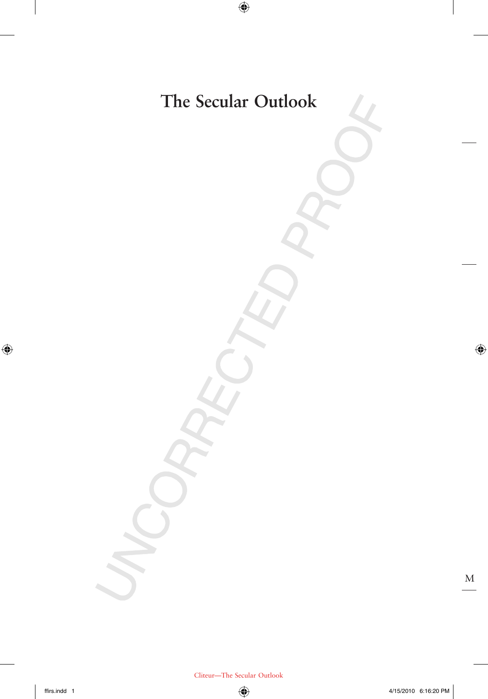## **The Secular Outlook**

 $\bigoplus$ 

M

 $\bigoplus$ 

 $\bigoplus$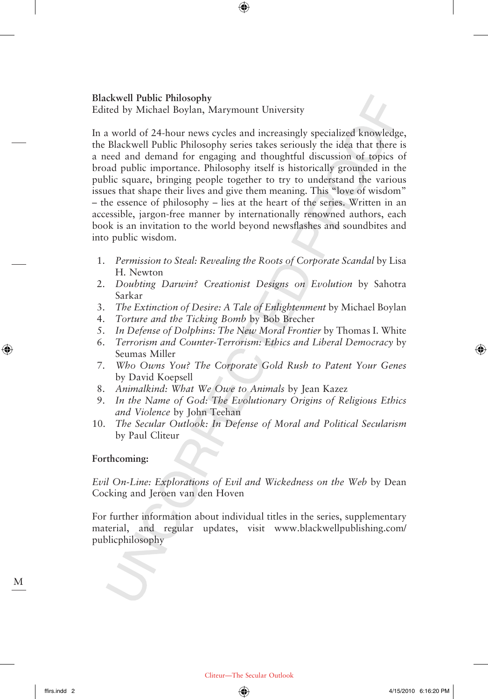#### **Blackwell Public Philosophy**

Edited by Michael Boylan, Marymount University

In a world of 24-hour news cycles and increasingly specialized knowledge, the Blackwell Public Philosophy series takes seriously the idea that there is a need and demand for engaging and thoughtful discussion of topics of broad public importance. Philosophy itself is historically grounded in the public square, bringing people together to try to understand the various issues that shape their lives and give them meaning. This "love of wisdom" – the essence of philosophy – lies at the heart of the series. Written in an accessible, jargon-free manner by internationally renowned authors, each book is an invitation to the world beyond newsflashes and soundbites and into public wisdom.

 $\bigoplus$ 

- 1. *Permission to Steal: Revealing the Roots of Corporate Scandal* by Lisa H. Newton
- 2. *Doubting Darwin? Creationist Designs on Evolution* by Sahotra Sarkar
- 3. *The Extinction of Desire: A Tale of Enlightenment* by Michael Boylan
- 4. *Torture and the Ticking Bomb* by Bob Brecher
- 5. *In Defense of Dolphins: The New Moral Frontier* by Thomas I. White
- 6. *Terrorism and Counter-Terrorism: Ethics and Liberal Democracy* by Seumas Miller
- 7. *Who Owns You? The Corporate Gold Rush to Patent Your Genes* by David Koepsell
- 8. *Animalkind: What We Owe to Animals* by Jean Kazez
- 9. *In the Name of God: The Evolutionary Origins of Religious Ethics and Violence* by John Teehan
- 10. *The Secular Outlook: In Defense of Moral and Political Secularism* by Paul Cliteur

#### **Forthcoming:**

*Evil On-Line: Explorations of Evil and Wickedness on the Web* by Dean Cocking and Jeroen van den Hoven

For further information about individual titles in the series, supplementary material, and regular updates, visit www.blackwellpublishing.com/ publicphilosophy

M

⊕

⊕

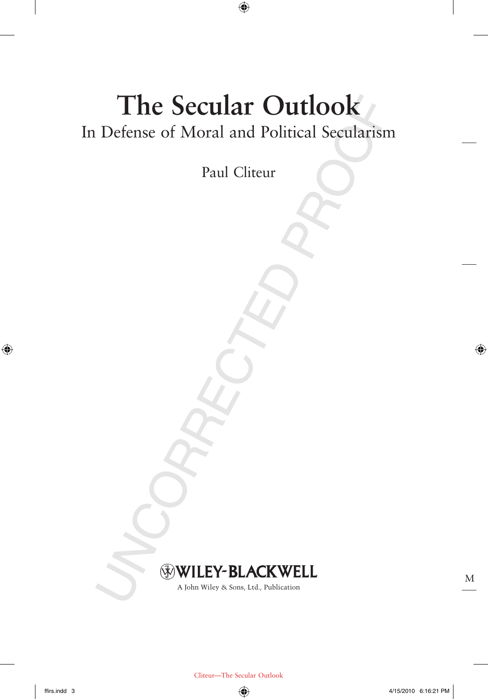# **The Secular Outlook** In Defense of Moral and Political Secularism

 $\bigoplus$ 

Paul Cliteur

### WILEY-BLACKWELL

A John Wiley & Sons, Ltd., Publication

 $\bigoplus$ 

M

 $\bigoplus$